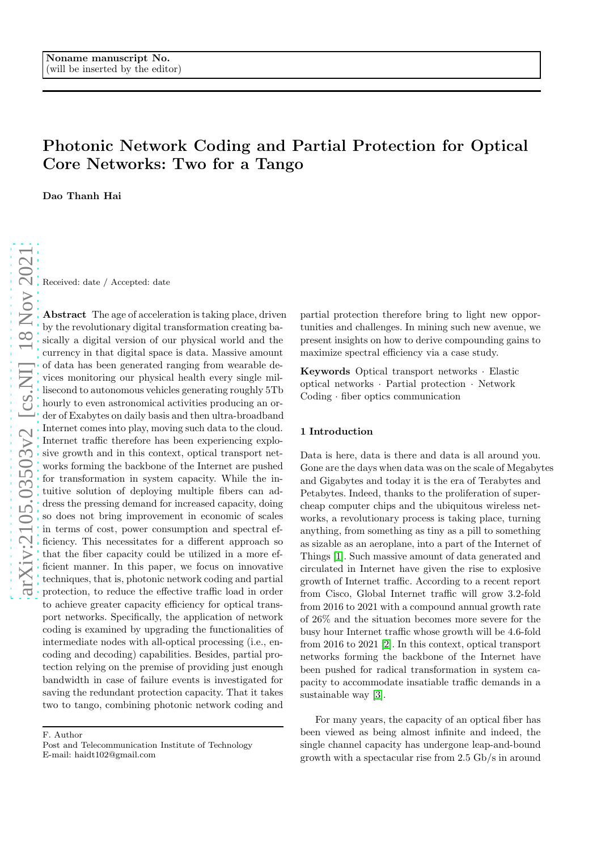# Photonic Network Coding and Partial Protection for Optical Core Networks: Two for a Tango

Dao Thanh Hai

Received: date / Accepted: date

Abstract The age of acceleration is taking place, driven by the revolutionary digital transformation creating basically a digital version of our physical world and the currency in that digital space is data. Massive amount of data has been generated ranging from wearable devices monitoring our physical health every single millisecond to autonomous vehicles generating roughly 5Tb hourly to even astronomical activities producing an order of Exabytes on daily basis and then ultra-broadband Internet comes into play, moving such data to the cloud. Internet traffic therefore has been experiencing explosive growth and in this context, optical transport networks forming the backbone of the Internet are pushed for transformation in system capacity. While the intuitive solution of deploying multiple fibers can address the pressing demand for increased capacity, doing so does not bring improvement in economic of scales in terms of cost, power consumption and spectral efficiency. This necessitates for a different approach so that the fiber capacity could be utilized in a more efficient manner. In this paper, we focus on innovative techniques, that is, photonic network coding and partial protection, to reduce the effective traffic load in order to achieve greater capacity efficiency for optical transport networks. Specifically, the application of network coding is examined by upgrading the functionalities of intermediate nodes with all-optical processing (i.e., encoding and decoding) capabilities. Besides, partial protection relying on the premise of providing just enough bandwidth in case of failure events is investigated for saving the redundant protection capacity. That it takes two to tango, combining photonic network coding and

F. Author

partial protection therefore bring to light new opportunities and challenges. In mining such new avenue, we present insights on how to derive compounding gains to maximize spectral efficiency via a case study.

Keywords Optical transport networks · Elastic optical networks · Partial protection · Network Coding · fiber optics communication

## 1 Introduction

Data is here, data is there and data is all around you. Gone are the days when data was on the scale of Megabytes and Gigabytes and today it is the era of Terabytes and Petabytes. Indeed, thanks to the proliferation of supercheap computer chips and the ubiquitous wireless networks, a revolutionary process is taking place, turning anything, from something as tiny as a pill to something as sizable as an aeroplane, into a part of the Internet of Things [\[1\]](#page-5-0). Such massive amount of data generated and circulated in Internet have given the rise to explosive growth of Internet traffic. According to a recent report from Cisco, Global Internet traffic will grow 3.2-fold from 2016 to 2021 with a compound annual growth rate of 26% and the situation becomes more severe for the busy hour Internet traffic whose growth will be 4.6-fold from 2016 to 2021 [\[2\]](#page-5-1). In this context, optical transport networks forming the backbone of the Internet have been pushed for radical transformation in system capacity to accommodate insatiable traffic demands in a sustainable way [\[3\]](#page-5-2).

For many years, the capacity of an optical fiber has been viewed as being almost infinite and indeed, the single channel capacity has undergone leap-and-bound growth with a spectacular rise from 2.5 Gb/s in around

Post and Telecommunication Institute of Technology E-mail: haidt102@gmail.com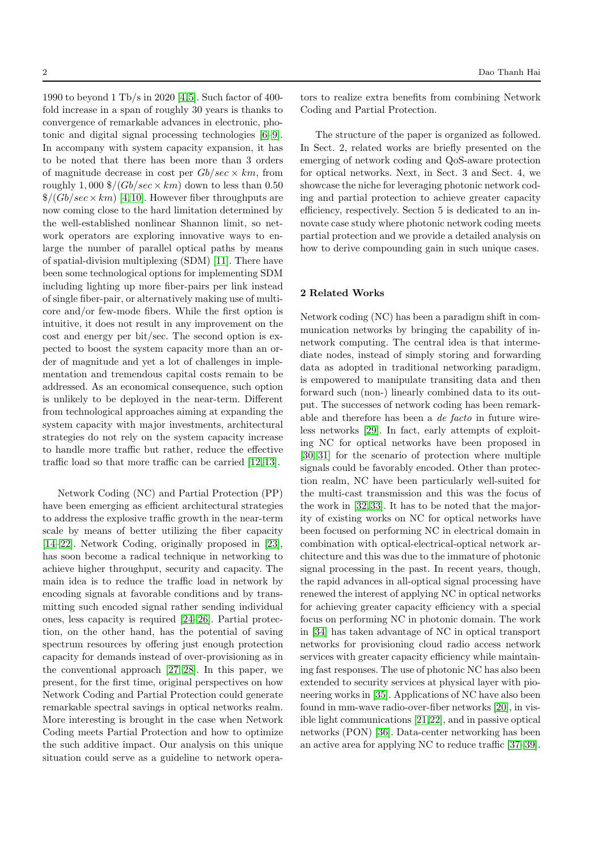1990 to beyond 1 Tb/s in 2020 [\[4,](#page-5-3)[5\]](#page-5-4). Such factor of 400 fold increase in a span of roughly 30 years is thanks to convergence of remarkable advances in electronic, photonic and digital signal processing technologies [\[6–](#page-5-5)[9\]](#page-5-6). In accompany with system capacity expansion, it has to be noted that there has been more than 3 orders of magnitude decrease in cost per  $Gb/sec \times km$ , from roughly 1,000  $\frac{s}{(Gb/sec \times km)}$  down to less than 0.50  $\frac{\sqrt{Gb}}{sec \times km}$  [\[4,](#page-5-3)[10\]](#page-5-7). However fiber throughputs are now coming close to the hard limitation determined by the well-established nonlinear Shannon limit, so network operators are exploring innovative ways to enlarge the number of parallel optical paths by means of spatial-division multiplexing (SDM) [\[11\]](#page-5-8). There have been some technological options for implementing SDM including lighting up more fiber-pairs per link instead of single fiber-pair, or alternatively making use of multicore and/or few-mode fibers. While the first option is intuitive, it does not result in any improvement on the cost and energy per bit/sec. The second option is expected to boost the system capacity more than an order of magnitude and yet a lot of challenges in implementation and tremendous capital costs remain to be addressed. As an economical consequence, such option is unlikely to be deployed in the near-term. Different from technological approaches aiming at expanding the system capacity with major investments, architectural strategies do not rely on the system capacity increase to handle more traffic but rather, reduce the effective traffic load so that more traffic can be carried [\[12,](#page-5-9) [13\]](#page-5-10).

Network Coding (NC) and Partial Protection (PP) have been emerging as efficient architectural strategies to address the explosive traffic growth in the near-term scale by means of better utilizing the fiber capacity [\[14–](#page-6-0)[22\]](#page-6-1). Network Coding, originally proposed in [\[23\]](#page-6-2), has soon become a radical technique in networking to achieve higher throughput, security and capacity. The main idea is to reduce the traffic load in network by encoding signals at favorable conditions and by transmitting such encoded signal rather sending individual ones, less capacity is required [\[24](#page-6-3)[–26\]](#page-6-4). Partial protection, on the other hand, has the potential of saving spectrum resources by offering just enough protection capacity for demands instead of over-provisioning as in the conventional approach [\[27,](#page-6-5) [28\]](#page-6-6). In this paper, we present, for the first time, original perspectives on how Network Coding and Partial Protection could generate remarkable spectral savings in optical networks realm. More interesting is brought in the case when Network Coding meets Partial Protection and how to optimize the such additive impact. Our analysis on this unique situation could serve as a guideline to network operators to realize extra benefits from combining Network Coding and Partial Protection.

The structure of the paper is organized as followed. In Sect. 2, related works are briefly presented on the emerging of network coding and QoS-aware protection for optical networks. Next, in Sect. 3 and Sect. 4, we showcase the niche for leveraging photonic network coding and partial protection to achieve greater capacity efficiency, respectively. Section 5 is dedicated to an innovate case study where photonic network coding meets partial protection and we provide a detailed analysis on how to derive compounding gain in such unique cases.

# 2 Related Works

Network coding (NC) has been a paradigm shift in communication networks by bringing the capability of innetwork computing. The central idea is that intermediate nodes, instead of simply storing and forwarding data as adopted in traditional networking paradigm, is empowered to manipulate transiting data and then forward such (non-) linearly combined data to its output. The successes of network coding has been remarkable and therefore has been a de facto in future wireless networks [\[29\]](#page-6-7). In fact, early attempts of exploiting NC for optical networks have been proposed in [\[30,](#page-6-8) [31\]](#page-6-9) for the scenario of protection where multiple signals could be favorably encoded. Other than protection realm, NC have been particularly well-suited for the multi-cast transmission and this was the focus of the work in [\[32,](#page-6-10) [33\]](#page-6-11). It has to be noted that the majority of existing works on NC for optical networks have been focused on performing NC in electrical domain in combination with optical-electrical-optical network architecture and this was due to the immature of photonic signal processing in the past. In recent years, though, the rapid advances in all-optical signal processing have renewed the interest of applying NC in optical networks for achieving greater capacity efficiency with a special focus on performing NC in photonic domain. The work in [\[34\]](#page-6-12) has taken advantage of NC in optical transport networks for provisioning cloud radio access network services with greater capacity efficiency while maintaining fast responses. The use of photonic NC has also been extended to security services at physical layer with pioneering works in [\[35\]](#page-6-13). Applications of NC have also been found in mm-wave radio-over-fiber networks [\[20\]](#page-6-14), in visible light communications [\[21,](#page-6-15)[22\]](#page-6-1), and in passive optical networks (PON) [\[36\]](#page-6-16). Data-center networking has been an active area for applying NC to reduce traffic [\[37–](#page-6-17)[39\]](#page-6-18).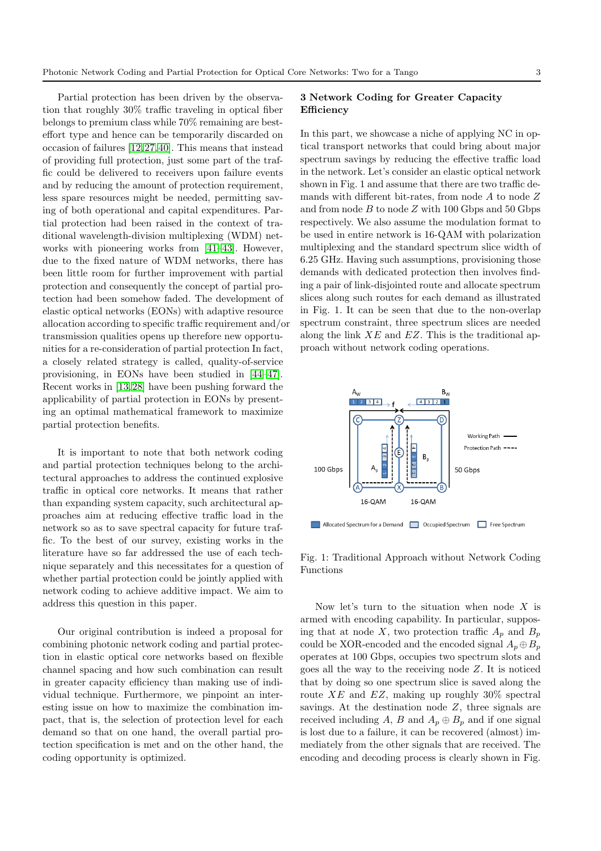Partial protection has been driven by the observation that roughly 30% traffic traveling in optical fiber belongs to premium class while 70% remaining are besteffort type and hence can be temporarily discarded on occasion of failures [\[12,](#page-5-9)[27,](#page-6-5)[40\]](#page-6-19). This means that instead of providing full protection, just some part of the traffic could be delivered to receivers upon failure events and by reducing the amount of protection requirement, less spare resources might be needed, permitting saving of both operational and capital expenditures. Partial protection had been raised in the context of traditional wavelength-division multiplexing (WDM) networks with pioneering works from [\[41–](#page-7-0)[43\]](#page-7-1). However, due to the fixed nature of WDM networks, there has been little room for further improvement with partial protection and consequently the concept of partial protection had been somehow faded. The development of elastic optical networks (EONs) with adaptive resource allocation according to specific traffic requirement and/or transmission qualities opens up therefore new opportunities for a re-consideration of partial protection In fact, a closely related strategy is called, quality-of-service provisioning, in EONs have been studied in [\[44–](#page-7-2)[47\]](#page-7-3). Recent works in [\[13,](#page-5-10) [28\]](#page-6-6) have been pushing forward the applicability of partial protection in EONs by presenting an optimal mathematical framework to maximize partial protection benefits.

It is important to note that both network coding and partial protection techniques belong to the architectural approaches to address the continued explosive traffic in optical core networks. It means that rather than expanding system capacity, such architectural approaches aim at reducing effective traffic load in the network so as to save spectral capacity for future traffic. To the best of our survey, existing works in the literature have so far addressed the use of each technique separately and this necessitates for a question of whether partial protection could be jointly applied with network coding to achieve additive impact. We aim to address this question in this paper.

Our original contribution is indeed a proposal for combining photonic network coding and partial protection in elastic optical core networks based on flexible channel spacing and how such combination can result in greater capacity efficiency than making use of individual technique. Furthermore, we pinpoint an interesting issue on how to maximize the combination impact, that is, the selection of protection level for each demand so that on one hand, the overall partial protection specification is met and on the other hand, the coding opportunity is optimized.

## 3 Network Coding for Greater Capacity Efficiency

In this part, we showcase a niche of applying NC in optical transport networks that could bring about major spectrum savings by reducing the effective traffic load in the network. Let's consider an elastic optical network shown in Fig. 1 and assume that there are two traffic demands with different bit-rates, from node  $A$  to node  $Z$ and from node  $B$  to node  $Z$  with 100 Gbps and 50 Gbps respectively. We also assume the modulation format to be used in entire network is 16-QAM with polarization multiplexing and the standard spectrum slice width of 6.25 GHz. Having such assumptions, provisioning those demands with dedicated protection then involves finding a pair of link-disjointed route and allocate spectrum slices along such routes for each demand as illustrated in Fig. 1. It can be seen that due to the non-overlap spectrum constraint, three spectrum slices are needed along the link  $XE$  and  $EZ$ . This is the traditional approach without network coding operations.



Fig. 1: Traditional Approach without Network Coding Functions

Now let's turn to the situation when node  $X$  is armed with encoding capability. In particular, supposing that at node X, two protection traffic  $A_p$  and  $B_p$ could be XOR-encoded and the encoded signal  $A_p \oplus B_p$ operates at 100 Gbps, occupies two spectrum slots and goes all the way to the receiving node Z. It is noticed that by doing so one spectrum slice is saved along the route  $XE$  and  $EZ$ , making up roughly 30% spectral savings. At the destination node  $Z$ , three signals are received including A, B and  $A_p \oplus B_p$  and if one signal is lost due to a failure, it can be recovered (almost) immediately from the other signals that are received. The encoding and decoding process is clearly shown in Fig.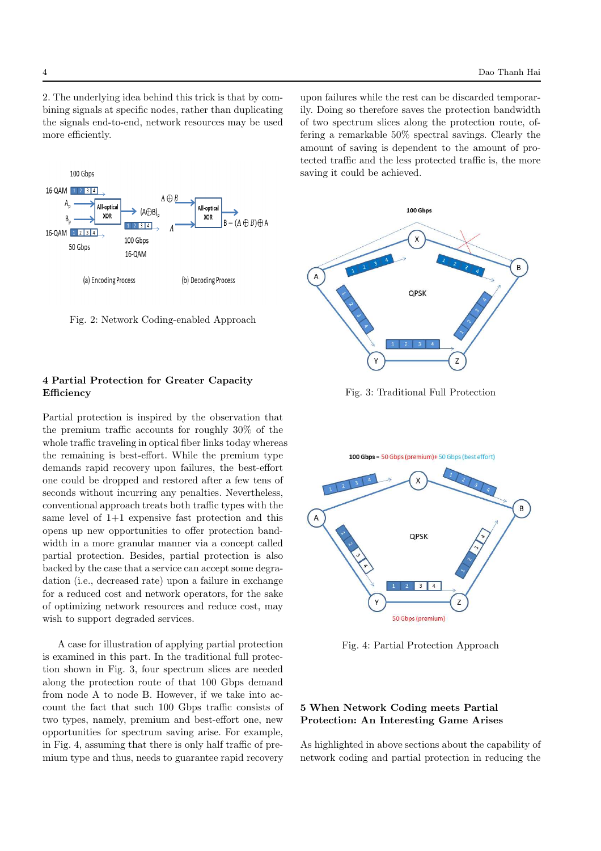2. The underlying idea behind this trick is that by combining signals at specific nodes, rather than duplicating the signals end-to-end, network resources may be used more efficiently.

100 Gbps 16-QAM 1 2 3 4  $A \bigoplus B$ All-optica **All-optica**  $(A \oplus R)$ XOR **XOR**  $\overline{B}$  $B = (A \oplus B) \oplus A$  $12314$ 16-QAM 1234 100 Gbps 50 Gbps 16-QAM (a) Encoding Process (b) Decoding Process

Fig. 2: Network Coding-enabled Approach

# 4 Partial Protection for Greater Capacity Efficiency

Partial protection is inspired by the observation that the premium traffic accounts for roughly 30% of the whole traffic traveling in optical fiber links today whereas the remaining is best-effort. While the premium type demands rapid recovery upon failures, the best-effort one could be dropped and restored after a few tens of seconds without incurring any penalties. Nevertheless, conventional approach treats both traffic types with the same level of 1+1 expensive fast protection and this opens up new opportunities to offer protection bandwidth in a more granular manner via a concept called partial protection. Besides, partial protection is also backed by the case that a service can accept some degradation (i.e., decreased rate) upon a failure in exchange for a reduced cost and network operators, for the sake of optimizing network resources and reduce cost, may wish to support degraded services.

A case for illustration of applying partial protection is examined in this part. In the traditional full protection shown in Fig. 3, four spectrum slices are needed along the protection route of that 100 Gbps demand from node A to node B. However, if we take into account the fact that such 100 Gbps traffic consists of two types, namely, premium and best-effort one, new opportunities for spectrum saving arise. For example, in Fig. 4, assuming that there is only half traffic of premium type and thus, needs to guarantee rapid recovery upon failures while the rest can be discarded temporarily. Doing so therefore saves the protection bandwidth of two spectrum slices along the protection route, offering a remarkable 50% spectral savings. Clearly the amount of saving is dependent to the amount of protected traffic and the less protected traffic is, the more saving it could be achieved.



Fig. 3: Traditional Full Protection



Fig. 4: Partial Protection Approach

## 5 When Network Coding meets Partial Protection: An Interesting Game Arises

As highlighted in above sections about the capability of network coding and partial protection in reducing the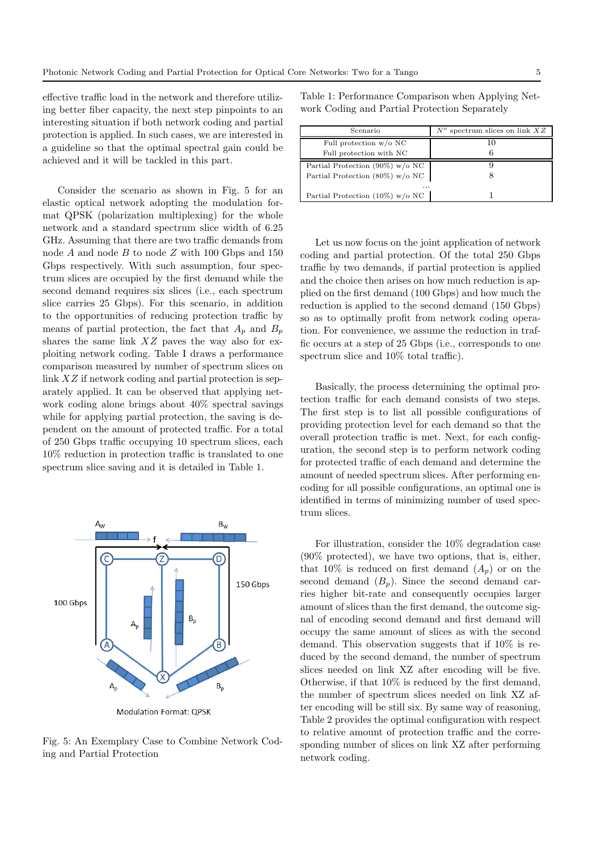effective traffic load in the network and therefore utilizing better fiber capacity, the next step pinpoints to an interesting situation if both network coding and partial protection is applied. In such cases, we are interested in a guideline so that the optimal spectral gain could be achieved and it will be tackled in this part.

Consider the scenario as shown in Fig. 5 for an elastic optical network adopting the modulation format QPSK (polarization multiplexing) for the whole network and a standard spectrum slice width of 6.25 GHz. Assuming that there are two traffic demands from node  $A$  and node  $B$  to node  $Z$  with 100 Gbps and 150 Gbps respectively. With such assumption, four spectrum slices are occupied by the first demand while the second demand requires six slices (i.e., each spectrum slice carries 25 Gbps). For this scenario, in addition to the opportunities of reducing protection traffic by means of partial protection, the fact that  $A_p$  and  $B_p$ shares the same link  $XZ$  paves the way also for exploiting network coding. Table I draws a performance comparison measured by number of spectrum slices on link XZ if network coding and partial protection is separately applied. It can be observed that applying network coding alone brings about 40% spectral savings while for applying partial protection, the saving is dependent on the amount of protected traffic. For a total of 250 Gbps traffic occupying 10 spectrum slices, each 10% reduction in protection traffic is translated to one spectrum slice saving and it is detailed in Table 1.



Modulation Format: QPSK

Fig. 5: An Exemplary Case to Combine Network Coding and Partial Protection

Table 1: Performance Comparison when Applying Network Coding and Partial Protection Separately

| Scenario                           | spectrum slices on link $XZ$ |  |
|------------------------------------|------------------------------|--|
| Full protection $w$ /o NC          |                              |  |
| Full protection with NC            | 6                            |  |
| Partial Protection $(90\%)$ w/o NC |                              |  |
| Partial Protection (80%) $w/o$ NC  |                              |  |
|                                    |                              |  |
| Partial Protection (10%) $w/o$ NC  |                              |  |

Let us now focus on the joint application of network coding and partial protection. Of the total 250 Gbps traffic by two demands, if partial protection is applied and the choice then arises on how much reduction is applied on the first demand (100 Gbps) and how much the reduction is applied to the second demand (150 Gbps) so as to optimally profit from network coding operation. For convenience, we assume the reduction in traffic occurs at a step of 25 Gbps (i.e., corresponds to one spectrum slice and 10% total traffic).

Basically, the process determining the optimal protection traffic for each demand consists of two steps. The first step is to list all possible configurations of providing protection level for each demand so that the overall protection traffic is met. Next, for each configuration, the second step is to perform network coding for protected traffic of each demand and determine the amount of needed spectrum slices. After performing encoding for all possible configurations, an optimal one is identified in terms of minimizing number of used spectrum slices.

For illustration, consider the 10% degradation case (90% protected), we have two options, that is, either, that 10% is reduced on first demand  $(A_p)$  or on the second demand  $(B_n)$ . Since the second demand carries higher bit-rate and consequently occupies larger amount of slices than the first demand, the outcome signal of encoding second demand and first demand will occupy the same amount of slices as with the second demand. This observation suggests that if 10% is reduced by the second demand, the number of spectrum slices needed on link XZ after encoding will be five. Otherwise, if that 10% is reduced by the first demand, the number of spectrum slices needed on link XZ after encoding will be still six. By same way of reasoning, Table 2 provides the optimal configuration with respect to relative amount of protection traffic and the corresponding number of slices on link XZ after performing network coding.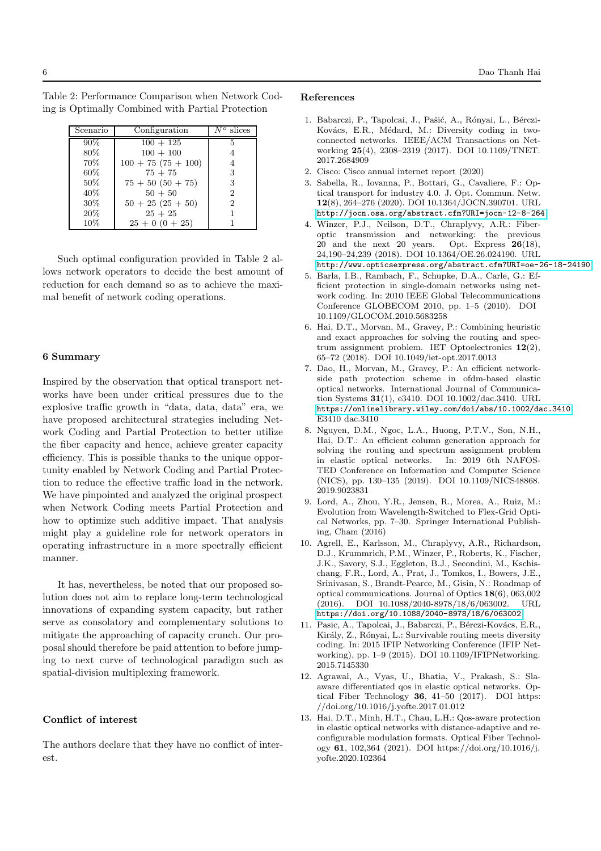Table 2: Performance Comparison when Network Coding is Optimally Combined with Partial Protection

| Scenario | Configuration        | slices<br>Nο   |
|----------|----------------------|----------------|
| 90%      | $100 + 125$          | 5              |
| 80%      | $100 + 100$          |                |
| 70%      | $100 + 75(75 + 100)$ | 4              |
| 60%      | $75 + 75$            | 3              |
| 50%      | $75 + 50(50 + 75)$   | 3              |
| 40%      | $50 + 50$            | $\overline{2}$ |
| 30%      | $50 + 25 (25 + 50)$  | $\overline{2}$ |
| 20%      | $25 + 25$            |                |
| 10%      | $25+0(0+25)$         |                |

Such optimal configuration provided in Table 2 allows network operators to decide the best amount of reduction for each demand so as to achieve the maximal benefit of network coding operations.

### 6 Summary

Inspired by the observation that optical transport networks have been under critical pressures due to the explosive traffic growth in "data, data, data" era, we have proposed architectural strategies including Network Coding and Partial Protection to better utilize the fiber capacity and hence, achieve greater capacity efficiency. This is possible thanks to the unique opportunity enabled by Network Coding and Partial Protection to reduce the effective traffic load in the network. We have pinpointed and analyzed the original prospect when Network Coding meets Partial Protection and how to optimize such additive impact. That analysis might play a guideline role for network operators in operating infrastructure in a more spectrally efficient manner.

It has, nevertheless, be noted that our proposed solution does not aim to replace long-term technological innovations of expanding system capacity, but rather serve as consolatory and complementary solutions to mitigate the approaching of capacity crunch. Our proposal should therefore be paid attention to before jumping to next curve of technological paradigm such as spatial-division multiplexing framework.

#### Conflict of interest

The authors declare that they have no conflict of interest.

#### <span id="page-5-0"></span>References

- 1. Babarczi, P., Tapolcai, J., Pašić, A., Rónyai, L., Bérczi-Kovács, E.R., Médard, M.: Diversity coding in twoconnected networks. IEEE/ACM Transactions on Networking 25(4), 2308–2319 (2017). DOI 10.1109/TNET. 2017.2684909
- <span id="page-5-2"></span><span id="page-5-1"></span>2. Cisco: Cisco annual internet report (2020)
- 3. Sabella, R., Iovanna, P., Bottari, G., Cavaliere, F.: Optical transport for industry 4.0. J. Opt. Commun. Netw. 12(8), 264–276 (2020). DOI 10.1364/JOCN.390701. URL <http://jocn.osa.org/abstract.cfm?URI=jocn-12-8-264>
- <span id="page-5-3"></span>4. Winzer, P.J., Neilson, D.T., Chraplyvy, A.R.: Fiberoptic transmission and networking: the previous 20 and the next 20 years. Opt. Express  $26(18)$ , 24,190–24,239 (2018). DOI 10.1364/OE.26.024190. URL <http://www.opticsexpress.org/abstract.cfm?URI=oe-26-18-24190>
- <span id="page-5-4"></span>5. Barla, I.B., Rambach, F., Schupke, D.A., Carle, G.: Efficient protection in single-domain networks using network coding. In: 2010 IEEE Global Telecommunications Conference GLOBECOM 2010, pp. 1–5 (2010). DOI 10.1109/GLOCOM.2010.5683258
- <span id="page-5-5"></span>6. Hai, D.T., Morvan, M., Gravey, P.: Combining heuristic and exact approaches for solving the routing and spectrum assignment problem. IET Optoelectronics 12(2), 65–72 (2018). DOI 10.1049/iet-opt.2017.0013
- 7. Dao, H., Morvan, M., Gravey, P.: An efficient networkside path protection scheme in ofdm-based elastic optical networks. International Journal of Communication Systems 31(1), e3410. DOI 10.1002/dac.3410. URL <https://onlinelibrary.wiley.com/doi/abs/10.1002/dac.3410>. E3410 dac.3410
- 8. Nguyen, D.M., Ngoc, L.A., Huong, P.T.V., Son, N.H., Hai, D.T.: An efficient column generation approach for solving the routing and spectrum assignment problem in elastic optical networks. In: 2019 6th NAFOS-TED Conference on Information and Computer Science (NICS), pp. 130–135 (2019). DOI 10.1109/NICS48868. 2019.9023831
- <span id="page-5-6"></span>9. Lord, A., Zhou, Y.R., Jensen, R., Morea, A., Ruiz, M.: Evolution from Wavelength-Switched to Flex-Grid Optical Networks, pp. 7–30. Springer International Publishing, Cham (2016)
- <span id="page-5-7"></span>10. Agrell, E., Karlsson, M., Chraplyvy, A.R., Richardson, D.J., Krummrich, P.M., Winzer, P., Roberts, K., Fischer, J.K., Savory, S.J., Eggleton, B.J., Secondini, M., Kschischang, F.R., Lord, A., Prat, J., Tomkos, I., Bowers, J.E., Srinivasan, S., Brandt-Pearce, M., Gisin, N.: Roadmap of optical communications. Journal of Optics 18(6), 063,002 (2016). DOI 10.1088/2040-8978/18/6/063002. URL <https://doi.org/10.1088/2040-8978/18/6/063002>
- <span id="page-5-8"></span>11. Pasic, A., Tapolcai, J., Babarczi, P., Bérczi-Kovács, E.R., Király, Z., Rónyai, L.: Survivable routing meets diversity coding. In: 2015 IFIP Networking Conference (IFIP Networking), pp. 1–9 (2015). DOI 10.1109/IFIPNetworking. 2015.7145330
- <span id="page-5-9"></span>12. Agrawal, A., Vyas, U., Bhatia, V., Prakash, S.: Slaaware differentiated qos in elastic optical networks. Optical Fiber Technology 36, 41–50 (2017). DOI https: //doi.org/10.1016/j.yofte.2017.01.012
- <span id="page-5-10"></span>13. Hai, D.T., Minh, H.T., Chau, L.H.: Qos-aware protection in elastic optical networks with distance-adaptive and reconfigurable modulation formats. Optical Fiber Technology 61, 102,364 (2021). DOI https://doi.org/10.1016/j. yofte.2020.102364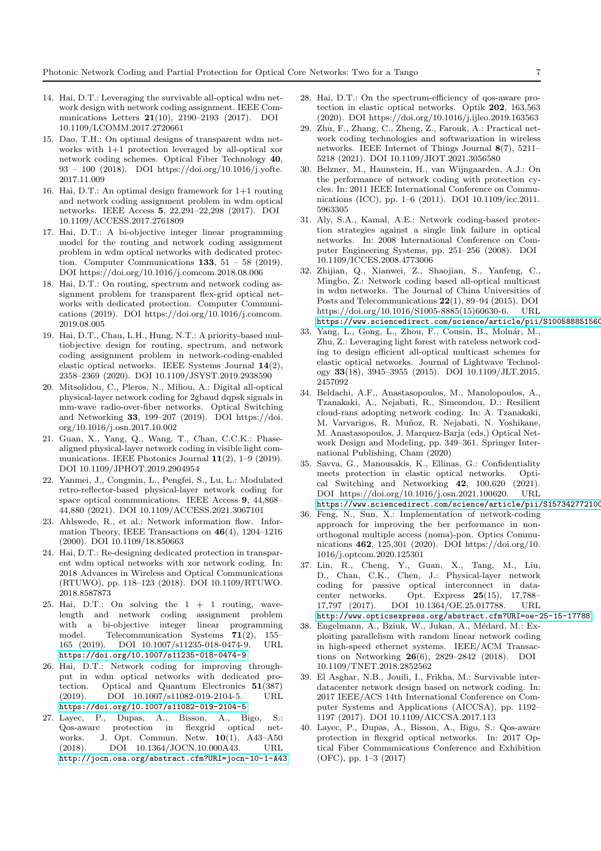- <span id="page-6-0"></span>14. Hai, D.T.: Leveraging the survivable all-optical wdm network design with network coding assignment. IEEE Communications Letters 21(10), 2190–2193 (2017). DOI 10.1109/LCOMM.2017.2720661
- 15. Dao, T.H.: On optimal designs of transparent wdm networks with 1+1 protection leveraged by all-optical xor network coding schemes. Optical Fiber Technology 40, 93 – 100 (2018). DOI https://doi.org/10.1016/j.yofte. 2017.11.009
- 16. Hai, D.T.: An optimal design framework for 1+1 routing and network coding assignment problem in wdm optical networks. IEEE Access 5, 22,291–22,298 (2017). DOI 10.1109/ACCESS.2017.2761809
- 17. Hai, D.T.: A bi-objective integer linear programming model for the routing and network coding assignment problem in wdm optical networks with dedicated protection. Computer Communications  $133$ ,  $51 - 58$  (2019). DOI https://doi.org/10.1016/j.comcom.2018.08.006
- 18. Hai, D.T.: On routing, spectrum and network coding assignment problem for transparent flex-grid optical networks with dedicated protection. Computer Communications (2019). DOI https://doi.org/10.1016/j.comcom. 2019.08.005
- 19. Hai, D.T., Chau, L.H., Hung, N.T.: A priority-based multiobjective design for routing, spectrum, and network coding assignment problem in network-coding-enabled elastic optical networks. IEEE Systems Journal 14(2), 2358–2369 (2020). DOI 10.1109/JSYST.2019.2938590
- <span id="page-6-14"></span>20. Mitsolidou, C., Pleros, N., Miliou, A.: Digital all-optical physical-layer network coding for 2gbaud dqpsk signals in mm-wave radio-over-fiber networks. Optical Switching and Networking 33, 199–207 (2019). DOI https://doi. org/10.1016/j.osn.2017.10.002
- <span id="page-6-15"></span>21. Guan, X., Yang, Q., Wang, T., Chan, C.C.K.: Phasealigned physical-layer network coding in visible light communications. IEEE Photonics Journal 11(2), 1–9 (2019). DOI 10.1109/JPHOT.2019.2904954
- <span id="page-6-1"></span>22. Yanmei, J., Congmin, L., Pengfei, S., Lu, L.: Modulated retro-reflector-based physical-layer network coding for space optical communications. IEEE Access 9, 44,868– 44,880 (2021). DOI 10.1109/ACCESS.2021.3067101
- <span id="page-6-2"></span>23. Ahlswede, R., et al.: Network information flow. Information Theory, IEEE Transactions on 46(4), 1204–1216 (2000). DOI 10.1109/18.850663
- <span id="page-6-3"></span>24. Hai, D.T.: Re-designing dedicated protection in transparent wdm optical networks with xor network coding. In: 2018 Advances in Wireless and Optical Communications (RTUWO), pp. 118–123 (2018). DOI 10.1109/RTUWO. 2018.8587873
- 25. Hai, D.T.: On solving the  $1 + 1$  routing, wavelength and network coding assignment problem with a bi-objective integer linear programming model. Telecommunication Systems 71(2), 155– 165 (2019). DOI 10.1007/s11235-018-0474-9. URL <https://doi.org/10.1007/s11235-018-0474-9>
- <span id="page-6-4"></span>26. Hai, D.T.: Network coding for improving throughput in wdm optical networks with dedicated protection. Optical and Quantum Electronics 51(387) (2019). DOI 10.1007/s11082-019-2104-5. URL <https://doi.org/10.1007/s11082-019-2104-5>
- <span id="page-6-5"></span>27. Layec, P., Dupas, A., Bisson, A., Bigo, S.: Qos-aware protection in flexgrid optical networks. J. Opt. Commun. Netw. 10(1), A43–A50 (2018). DOI 10.1364/JOCN.10.000A43. URL <http://jocn.osa.org/abstract.cfm?URI=jocn-10-1-A43>
- <span id="page-6-6"></span>28. Hai, D.T.: On the spectrum-efficiency of qos-aware protection in elastic optical networks. Optik 202, 163,563 (2020). DOI https://doi.org/10.1016/j.ijleo.2019.163563
- <span id="page-6-7"></span>29. Zhu, F., Zhang, C., Zheng, Z., Farouk, A.: Practical network coding technologies and softwarization in wireless networks. IEEE Internet of Things Journal 8(7), 5211– 5218 (2021). DOI 10.1109/JIOT.2021.3056580
- <span id="page-6-8"></span>30. Belzner, M., Haunstein, H., van Wijngaarden, A.J.: On the performance of network coding with protection cycles. In: 2011 IEEE International Conference on Communications (ICC), pp. 1–6 (2011). DOI 10.1109/icc.2011. 5963305
- <span id="page-6-9"></span>31. Aly, S.A., Kamal, A.E.: Network coding-based protection strategies against a single link failure in optical networks. In: 2008 International Conference on Computer Engineering Systems, pp. 251–256 (2008). DOI 10.1109/ICCES.2008.4773006
- <span id="page-6-10"></span>32. Zhijian, Q., Xianwei, Z., Shaojian, S., Yanfeng, C., Mingbo, Z.: Network coding based all-optical multicast in wdm networks. The Journal of China Universities of Posts and Telecommunications 22(1), 89–94 (2015). DOI https://doi.org/10.1016/S1005-8885(15)60630-6. URL https://www.sciencedirect.com/science/article/pii/S100588851560
- <span id="page-6-11"></span>33. Yang, L., Gong, L., Zhou, F., Cousin, B., Molnár, M., Zhu, Z.: Leveraging light forest with rateless network coding to design efficient all-optical multicast schemes for elastic optical networks. Journal of Lightwave Technology 33(18), 3945–3955 (2015). DOI 10.1109/JLT.2015. 2457092
- <span id="page-6-12"></span>34. Beldachi, A.F., Anastasopoulos, M., Manolopoulos, A., Tzanakaki, A., Nejabati, R., Simeondou, D.: Resilient cloud-rans adopting network coding. In: A. Tzanakaki, M. Varvarigos, R. Muñoz, R. Nejabati, N. Yoshikane, M. Anastasopoulos, J. Marquez-Barja (eds.) Optical Network Design and Modeling, pp. 349–361. Springer International Publishing, Cham (2020)
- <span id="page-6-13"></span>35. Savva, G., Manousakis, K., Ellinas, G.: Confidentiality meets protection in elastic optical networks. Optical Switching and Networking 42, 100,620 (2021). DOI https://doi.org/10.1016/j.osn.2021.100620. URL https://www.sciencedirect.com/science/article/pii/S157342772100
- <span id="page-6-16"></span>36. Feng, N., Sun, X.: Implementation of network-coding approach for improving the ber performance in nonorthogonal multiple access (noma)-pon. Optics Communications 462, 125,301 (2020). DOI https://doi.org/10. 1016/j.optcom.2020.125301
- <span id="page-6-17"></span>37. Lin, R., Cheng, Y., Guan, X., Tang, M., Liu, D., Chan, C.K., Chen, J.: Physical-layer network coding for passive optical interconnect in datacenter networks. Opt. Express 25(15), 17,788– 17,797 (2017). DOI 10.1364/OE.25.017788. URL <http://www.opticsexpress.org/abstract.cfm?URI=oe-25-15-17788>
- 38. Engelmann, A., Bziuk, W., Jukan, A., Médard, M.: Exploiting parallelism with random linear network coding in high-speed ethernet systems. IEEE/ACM Transactions on Networking 26(6), 2829–2842 (2018). DOI 10.1109/TNET.2018.2852562
- <span id="page-6-18"></span>39. El Asghar, N.B., Jouili, I., Frikha, M.: Survivable interdatacenter network design based on network coding. In: 2017 IEEE/ACS 14th International Conference on Computer Systems and Applications (AICCSA), pp. 1192– 1197 (2017). DOI 10.1109/AICCSA.2017.113
- <span id="page-6-19"></span>40. Layec, P., Dupas, A., Bisson, A., Bigo, S.: Qos-aware protection in flexgrid optical networks. In: 2017 Optical Fiber Communications Conference and Exhibition (OFC), pp. 1–3 (2017)